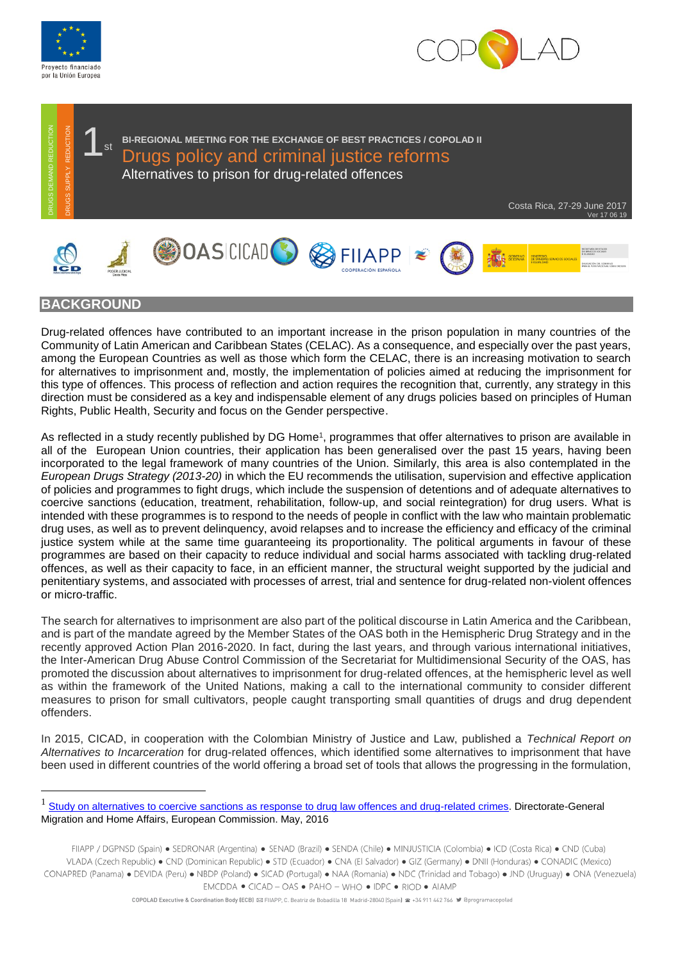



Costa Rica, 27-29 June 2017

Ver 17 06 19



1





## **BACKGROUND**

Drug-related offences have contributed to an important increase in the prison population in many countries of the Community of Latin American and Caribbean States (CELAC). As a consequence, and especially over the past years, among the European Countries as well as those which form the CELAC, there is an increasing motivation to search for alternatives to imprisonment and, mostly, the implementation of policies aimed at reducing the imprisonment for this type of offences. This process of reflection and action requires the recognition that, currently, any strategy in this direction must be considered as a key and indispensable element of any drugs policies based on principles of Human Rights, Public Health, Security and focus on the Gender perspective.

**1** st BI-REGIONAL MEETING FOR THE EXCHANGE OF BEST PRACTICES / COPOLAD II<br>Drugs policy and criminal justice reforms

Alternatives to prison for drug-related offences

As reflected in a study recently published by DG Home<sup>1</sup>, programmes that offer alternatives to prison are available in all of the European Union countries, their application has been generalised over the past 15 years, having been incorporated to the legal framework of many countries of the Union. Similarly, this area is also contemplated in the *European Drugs Strategy (2013-20)* in which the EU recommends the utilisation, supervision and effective application of policies and programmes to fight drugs, which include the suspension of detentions and of adequate alternatives to coercive sanctions (education, treatment, rehabilitation, follow-up, and social reintegration) for drug users. What is intended with these programmes is to respond to the needs of people in conflict with the law who maintain problematic drug uses, as well as to prevent delinquency, avoid relapses and to increase the efficiency and efficacy of the criminal justice system while at the same time guaranteeing its proportionality. The political arguments in favour of these programmes are based on their capacity to reduce individual and social harms associated with tackling drug-related offences, as well as their capacity to face, in an efficient manner, the structural weight supported by the judicial and penitentiary systems, and associated with processes of arrest, trial and sentence for drug-related non-violent offences or micro-traffic. Motion and Commission and Commission and Commission and Commission. And Commission and Commission and Commission and Commission and Commission and Commission and Commission and Commission and Commission and Commission and

The search for alternatives to imprisonment are also part of the political discourse in Latin America and the Caribbean, and is part of the mandate agreed by the Member States of the OAS both in the Hemispheric Drug Strategy and in the recently approved Action Plan 2016-2020. In fact, during the last years, and through various international initiatives, the Inter-American Drug Abuse Control Commission of the Secretariat for Multidimensional Security of the OAS, has promoted the discussion about alternatives to imprisonment for drug-related offences, at the hemispheric level as well as within the framework of the United Nations, making a call to the international community to consider different measures to prison for small cultivators, people caught transporting small quantities of drugs and drug dependent offenders.

In 2015, CICAD, in cooperation with the Colombian Ministry of Justice and Law, published a *Technical Report on Alternatives to Incarceration* for drug-related offences, which identified some alternatives to imprisonment that have been used in different countries of the world offering a broad set of tools that allows the progressing in the formulation,

<sup>1</sup> [Study on alternatives to coercive sanctions as response to drug law offences and drug-related crimes.](https://ec.europa.eu/home-affairs/sites/homeaffairs/files/what-we-do/policies/organized-crime-and-human-trafficking/drug-control/eu-response-to-drugs/docs/acs_final_report_new_ec_template_en.pdf) Directorate-General

FIIAPP / DGPNSD (Spain) · SEDRONAR (Argentina) · SENAD (Brazil) · SENDA (Chile) · MINJUSTICIA (Colombia) · ICD (Costa Rica) · CND (Cuba) VLADA (Czech Republic) • CND (Dominican Republic) • STD (Ecuador) • CNA (El Salvador) • GIZ (Germany) • DNII (Honduras) • CONADIC (Mexico) CONAPRED (Panama) • DEVIDA (Peru) • NBDP (Poland) • SICAD (Portugal) • NAA (Romania) • NDC (Trinidad and Tobago) • JND (Uruguay) • ONA (Venezuela) EMCDDA . CICAD - OAS . PAHO - WHO . IDPC . RIOD . AIAMP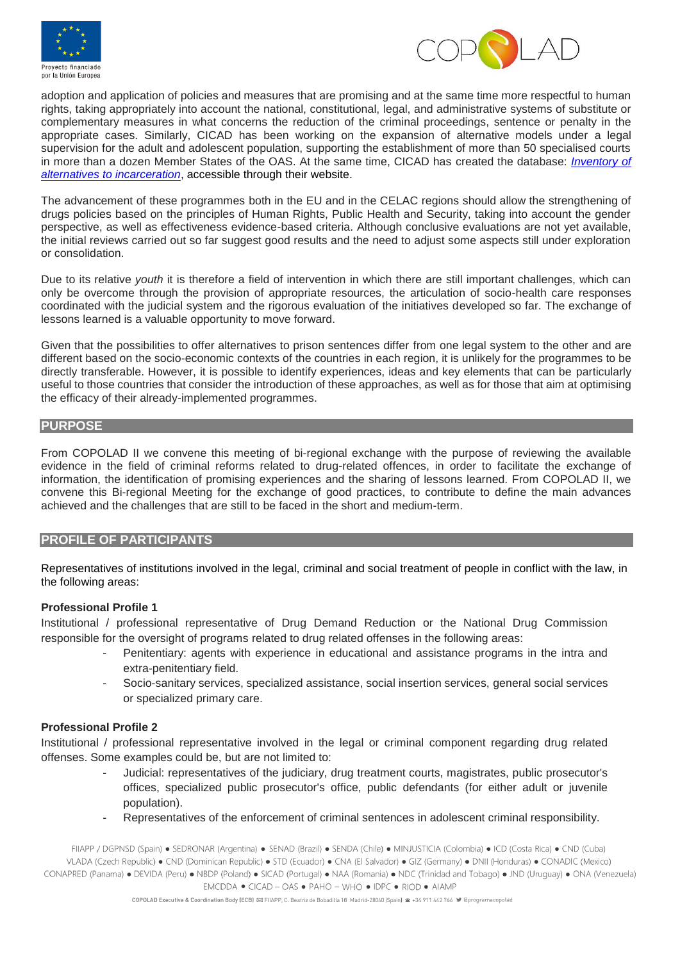



adoption and application of policies and measures that are promising and at the same time more respectful to human rights, taking appropriately into account the national, constitutional, legal, and administrative systems of substitute or complementary measures in what concerns the reduction of the criminal proceedings, sentence or penalty in the appropriate cases. Similarly, CICAD has been working on the expansion of alternative models under a legal supervision for the adult and adolescent population, supporting the establishment of more than 50 specialised courts in more than a dozen Member States of the OAS. At the same time, CICAD has created the database: *[Inventory of](http://cicad.oas.org/fortalecimiento_institucional/closinggap/inventarioae/fichas_tecnicas_eng.html)  [alternatives to incarceration](http://cicad.oas.org/fortalecimiento_institucional/closinggap/inventarioae/fichas_tecnicas_eng.html)*, accessible through their website.

The advancement of these programmes both in the EU and in the CELAC regions should allow the strengthening of drugs policies based on the principles of Human Rights, Public Health and Security, taking into account the gender perspective, as well as effectiveness evidence-based criteria. Although conclusive evaluations are not yet available, the initial reviews carried out so far suggest good results and the need to adjust some aspects still under exploration or consolidation.

Due to its relative *youth* it is therefore a field of intervention in which there are still important challenges, which can only be overcome through the provision of appropriate resources, the articulation of socio-health care responses coordinated with the judicial system and the rigorous evaluation of the initiatives developed so far. The exchange of lessons learned is a valuable opportunity to move forward.

Given that the possibilities to offer alternatives to prison sentences differ from one legal system to the other and are different based on the socio-economic contexts of the countries in each region, it is unlikely for the programmes to be directly transferable. However, it is possible to identify experiences, ideas and key elements that can be particularly useful to those countries that consider the introduction of these approaches, as well as for those that aim at optimising the efficacy of their already-implemented programmes.

#### **PURPOSE**

From COPOLAD II we convene this meeting of bi-regional exchange with the purpose of reviewing the available evidence in the field of criminal reforms related to drug-related offences, in order to facilitate the exchange of information, the identification of promising experiences and the sharing of lessons learned. From COPOLAD II, we convene this Bi-regional Meeting for the exchange of good practices, to contribute to define the main advances achieved and the challenges that are still to be faced in the short and medium-term.

## **PROFILE OF PARTICIPANTS**

Representatives of institutions involved in the legal, criminal and social treatment of people in conflict with the law, in the following areas:

#### **Professional Profile 1**

Institutional / professional representative of Drug Demand Reduction or the National Drug Commission responsible for the oversight of programs related to drug related offenses in the following areas:

- Penitentiary: agents with experience in educational and assistance programs in the intra and extra-penitentiary field.
- Socio-sanitary services, specialized assistance, social insertion services, general social services or specialized primary care.

## **Professional Profile 2**

Institutional / professional representative involved in the legal or criminal component regarding drug related offenses. Some examples could be, but are not limited to:

- Judicial: representatives of the judiciary, drug treatment courts, magistrates, public prosecutor's offices, specialized public prosecutor's office, public defendants (for either adult or juvenile population).
- Representatives of the enforcement of criminal sentences in adolescent criminal responsibility.

FIIAPP / DGPNSD (Spain) · SEDRONAR (Argentina) · SENAD (Brazil) · SENDA (Chile) · MINJUSTICIA (Colombia) · ICD (Costa Rica) · CND (Cuba) VLADA (Czech Republic) • CND (Dominican Republic) • STD (Ecuador) • CNA (El Salvador) • GIZ (Germany) • DNII (Honduras) • CONADIC (Mexico) CONAPRED (Panama) • DEVIDA (Peru) • NBDP (Poland) • SICAD (Portugal) • NAA (Romania) • NDC (Trinidad and Tobago) • JND (Uruguay) • ONA (Venezuela) EMCDDA . CICAD - OAS . PAHO - WHO . IDPC . RIOD . AIAMP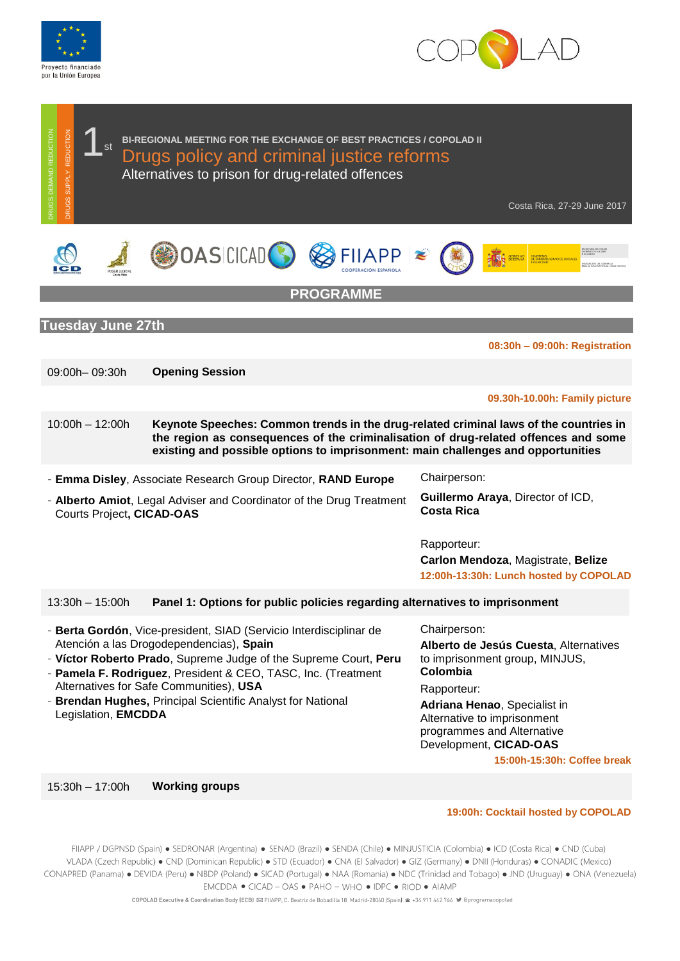





- **Brendan Hughes,** Principal Scientific Analyst for National Legislation, **EMCDDA**

**Adriana Henao**, Specialist in

Alternative to imprisonment programmes and Alternative Development, **CICAD-OAS**

**15:00h-15:30h: Coffee break** 

15:30h – 17:00h **Working groups**

**19:00h: Cocktail hosted by COPOLAD**

FIIAPP / DGPNSD (Spain) · SEDRONAR (Argentina) · SENAD (Brazil) · SENDA (Chile) · MINJUSTICIA (Colombia) · ICD (Costa Rica) · CND (Cuba) VLADA (Czech Republic) · CND (Dominican Republic) · STD (Ecuador) · CNA (El Salvador) · GIZ (Germany) · DNII (Honduras) · CONADIC (Mexico) CONAPRED (Panama) · DEVIDA (Peru) · NBDP (Poland) · SICAD (Portugal) · NAA (Romania) · NDC (Trinidad and Tobago) · JND (Uruguay) · ONA (Venezuela) EMCDDA . CICAD - OAS . PAHO - WHO . IDPC . RIOD . AIAMP

COPOLAD Executive & Coordination Body (ECB) ⊠ FIIAPP, C. Beatriz de Bobadilla 18 Madrid-28040 (Spain) 2 +34 911 442 766 9 @programacopolad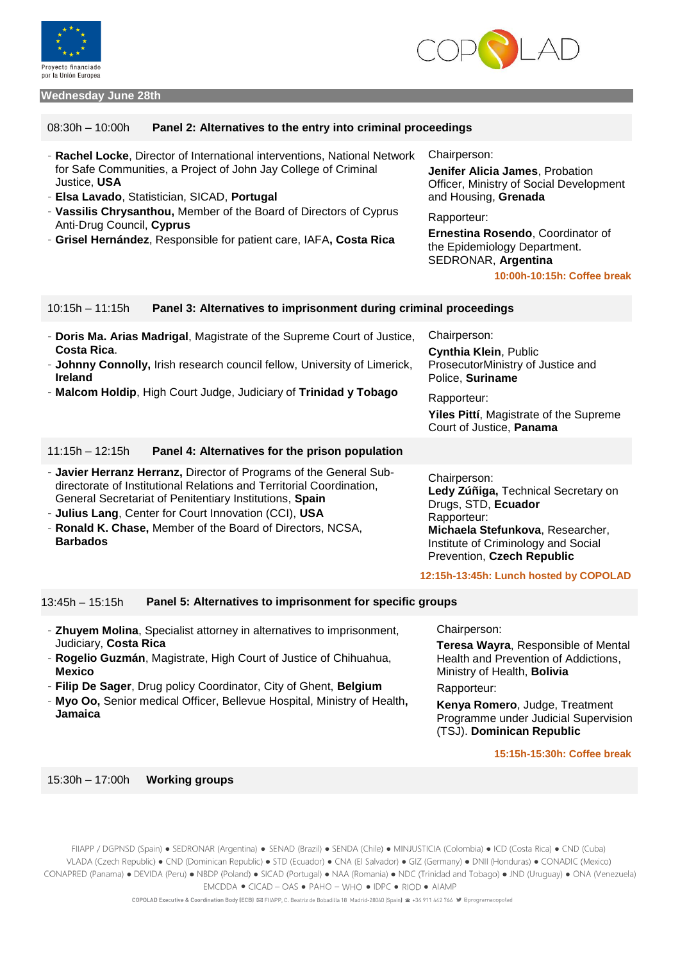



#### **Wednesday June 28th**

#### 08:30h – 10:00h **Panel 2: Alternatives to the entry into criminal proceedings**

| - Rachel Locke, Director of International interventions, National Network                                                                                             | Chairperson:                                                                                            |
|-----------------------------------------------------------------------------------------------------------------------------------------------------------------------|---------------------------------------------------------------------------------------------------------|
| for Safe Communities, a Project of John Jay College of Criminal                                                                                                       | Jenifer Alicia James, Probation                                                                         |
| Justice, USA                                                                                                                                                          | Officer, Ministry of Social Development                                                                 |
| - Elsa Lavado, Statistician, SICAD, Portugal                                                                                                                          | and Housing, Grenada                                                                                    |
| - Vassilis Chrysanthou, Member of the Board of Directors of Cyprus<br>Anti-Drug Council, Cyprus<br>- Grisel Hernández, Responsible for patient care, IAFA, Costa Rica | Rapporteur:<br>Ernestina Rosendo, Coordinator of<br>the Epidemiology Department.<br>SEDRONAR, Argentina |

**10:00h-10:15h: Coffee break**

### 10:15h – 11:15h **Panel 3: Alternatives to imprisonment during criminal proceedings**

| - Doris Ma. Arias Madrigal, Magistrate of the Supreme Court of Justice,<br>Costa Rica.<br>- Johnny Connolly, Irish research council fellow, University of Limerick,<br><b>Ireland</b><br>- Malcom Holdip, High Court Judge, Judiciary of Trinidad y Tobago | Chairperson:<br><b>Cynthia Klein, Public</b><br>ProsecutorMinistry of Justice and<br>Police, Suriname<br>Rapporteur:<br>Yiles Pittí, Magistrate of the Supreme<br>Court of Justice, Panama |
|------------------------------------------------------------------------------------------------------------------------------------------------------------------------------------------------------------------------------------------------------------|--------------------------------------------------------------------------------------------------------------------------------------------------------------------------------------------|
| Panel 4: Alternatives for the prison population<br>$11:15h - 12:15h$                                                                                                                                                                                       |                                                                                                                                                                                            |
| - Javier Herranz Herranz, Director of Programs of the General Sub-<br>directorate of Institutional Relations and Territorial Coordination,<br>General Secretariat of Penitentiary Institutions, Spain                                                      | Chairperson:<br>Ledy Zúñiga, Technical Secretary on<br>Drugs, STD, Ecuador                                                                                                                 |

- **Julius Lang**, Center for Court Innovation (CCI), **USA**
- **Ronald K. Chase,** Member of the Board of Directors, NCSA, **Barbados**

# 13:45h – 15:15h **Panel 5: Alternatives to imprisonment for specific groups**

- **Zhuyem Molina**, Specialist attorney in alternatives to imprisonment, Judiciary, **Costa Rica**
- **Rogelio Guzmán**, Magistrate, High Court of Justice of Chihuahua, **Mexico**
- **Filip De Sager**, Drug policy Coordinator, City of Ghent, **Belgium**
- **Myo Oo,** Senior medical Officer, Bellevue Hospital, Ministry of Health**, Jamaica**

Chairperson: **Teresa Wayra**, Responsible of Mental Health and Prevention of Addictions, Ministry of Health, **Bolivia**

**Michaela Stefunkova**, Researcher, Institute of Criminology and Social Prevention, **Czech Republic**

**12:15h-13:45h: Lunch hosted by COPOLAD**

Rapporteur:

Rapporteur:

**Kenya Romero**, Judge, Treatment Programme under Judicial Supervision (TSJ). **Dominican Republic**

#### **15:15h-15:30h: Coffee break**

15:30h – 17:00h **Working groups**

FIIAPP / DGPNSD (Spain) · SEDRONAR (Argentina) · SENAD (Brazil) · SENDA (Chile) · MINJUSTICIA (Colombia) · ICD (Costa Rica) · CND (Cuba) VLADA (Czech Republic) · CND (Dominican Republic) · STD (Ecuador) · CNA (El Salvador) · GIZ (Germany) · DNII (Honduras) · CONADIC (Mexico) CONAPRED (Panama) · DEVIDA (Peru) · NBDP (Poland) · SICAD (Portugal) · NAA (Romania) · NDC (Trinidad and Tobago) · JND (Uruguay) · ONA (Venezuela) EMCDDA . CICAD - OAS . PAHO - WHO . IDPC . RIOD . AIAMP

COPOLAD Executive & Coordination Body (ECB) ⊠ FIIAPP, C. Beatriz de Bobadilla 18 Madrid-28040 (Spain) 2 +34 911 442 766 9 @programacopolad